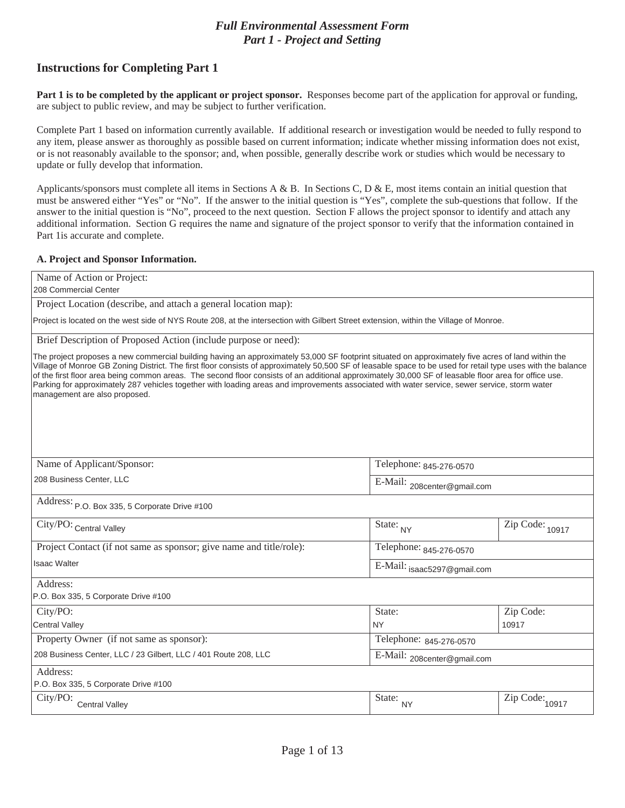## *Full Environmental Assessment Form Part 1 - Project and Setting*

# **Instructions for Completing Part 1**

**Part 1 is to be completed by the applicant or project sponsor.** Responses become part of the application for approval or funding, are subject to public review, and may be subject to further verification.

Complete Part 1 based on information currently available. If additional research or investigation would be needed to fully respond to any item, please answer as thoroughly as possible based on current information; indicate whether missing information does not exist, or is not reasonably available to the sponsor; and, when possible, generally describe work or studies which would be necessary to update or fully develop that information.

Applicants/sponsors must complete all items in Sections A & B. In Sections C, D & E, most items contain an initial question that must be answered either "Yes" or "No". If the answer to the initial question is "Yes", complete the sub-questions that follow. If the answer to the initial question is "No", proceed to the next question. Section F allows the project sponsor to identify and attach any additional information. Section G requires the name and signature of the project sponsor to verify that the information contained in Part 1is accurate and complete.

### **A. Project and Sponsor Information.**

Name of Action or Project:

208 Commercial Center

Project Location (describe, and attach a general location map):

Project is located on the west side of NYS Route 208, at the intersection with Gilbert Street extension, within the Village of Monroe.

Brief Description of Proposed Action (include purpose or need):

The project proposes a new commercial building having an approximately 53,000 SF footprint situated on approximately five acres of land within the Village of Monroe GB Zoning District. The first floor consists of approximately 50,500 SF of leasable space to be used for retail type uses with the balance of the first floor area being common areas. The second floor consists of an additional approximately 30,000 SF of leasable floor area for office use. Parking for approximately 287 vehicles together with loading areas and improvements associated with water service, sewer service, storm water management are also proposed.

| Name of Applicant/Sponsor:                                          | Telephone: 845-276-0570     |                                       |
|---------------------------------------------------------------------|-----------------------------|---------------------------------------|
| 208 Business Center, LLC                                            | E-Mail: 208center@gmail.com |                                       |
| Address: P.O. Box 335, 5 Corporate Drive #100                       |                             |                                       |
| City/PO: Central Valley                                             | State: NY                   | $\overline{\mathrm{Zip}}$ Code: 10917 |
| Project Contact (if not same as sponsor; give name and title/role): | Telephone: 845-276-0570     |                                       |
| <b>Isaac Walter</b>                                                 | E-Mail: isaac5297@gmail.com |                                       |
| Address:                                                            |                             |                                       |
| P.O. Box 335, 5 Corporate Drive #100                                |                             |                                       |
| City/PO:                                                            | State:                      | Zip Code:                             |
| <b>Central Valley</b>                                               | <b>NY</b>                   | 10917                                 |
| Property Owner (if not same as sponsor):                            | Telephone: 845-276-0570     |                                       |
| 208 Business Center, LLC / 23 Gilbert, LLC / 401 Route 208, LLC     | E-Mail: 208center@gmail.com |                                       |
| Address:                                                            |                             |                                       |
| P.O. Box 335, 5 Corporate Drive #100                                |                             |                                       |
| City/PO:<br><b>Central Valley</b>                                   | State:<br><b>NY</b>         | $\overline{\mathrm{Zip}}$ Code: 10917 |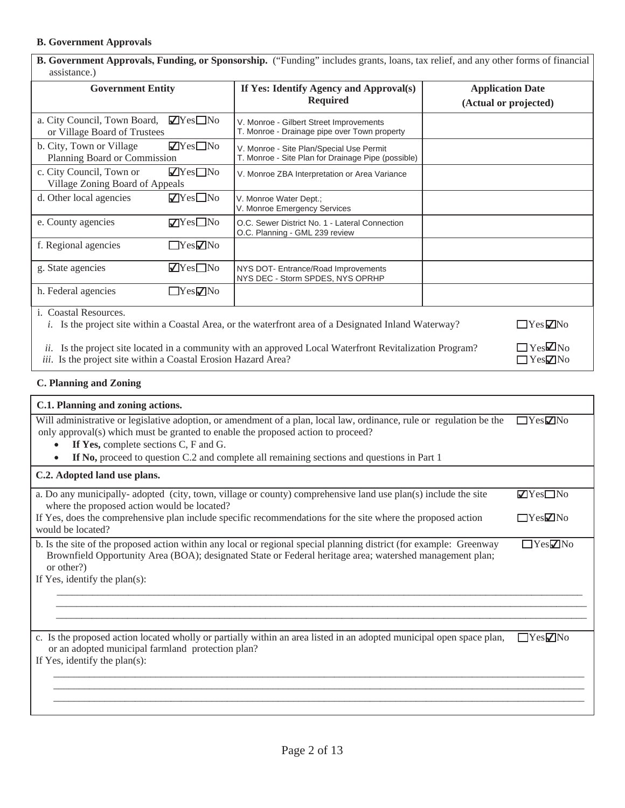## **B. Government Approvals**

| B. Government Approvals, Funding, or Sponsorship. ("Funding" includes grants, loans, tax relief, and any other forms of financial<br>assistance.)                                                                                          |                                                                                                              |                                                  |
|--------------------------------------------------------------------------------------------------------------------------------------------------------------------------------------------------------------------------------------------|--------------------------------------------------------------------------------------------------------------|--------------------------------------------------|
| <b>Government Entity</b>                                                                                                                                                                                                                   | If Yes: Identify Agency and Approval(s)<br><b>Required</b>                                                   | <b>Application Date</b><br>(Actual or projected) |
| $\sqrt{Y}$ es $\Box$ No<br>a. City Council, Town Board,<br>or Village Board of Trustees                                                                                                                                                    | V. Monroe - Gilbert Street Improvements<br>T. Monroe - Drainage pipe over Town property                      |                                                  |
| $\blacksquare$ Yes $\blacksquare$ No<br>b. City, Town or Village<br>Planning Board or Commission                                                                                                                                           | V. Monroe - Site Plan/Special Use Permit<br>T. Monroe - Site Plan for Drainage Pipe (possible)               |                                                  |
| c. City Council, Town or<br>$\blacksquare$ Yes $\blacksquare$ No<br>Village Zoning Board of Appeals                                                                                                                                        | V. Monroe ZBA Interpretation or Area Variance                                                                |                                                  |
| $\blacksquare$ Yes $\square$ No<br>d. Other local agencies                                                                                                                                                                                 | V. Monroe Water Dept.;<br>V. Monroe Emergency Services                                                       |                                                  |
| e. County agencies<br>$\nabla$ Yes $\square$ No                                                                                                                                                                                            | O.C. Sewer District No. 1 - Lateral Connection<br>O.C. Planning - GML 239 review                             |                                                  |
| f. Regional agencies<br>$\Box$ Yes $\nabla$ No                                                                                                                                                                                             |                                                                                                              |                                                  |
| $\blacksquare$ Yes $\blacksquare$ No<br>g. State agencies                                                                                                                                                                                  | NYS DOT- Entrance/Road Improvements<br>NYS DEC - Storm SPDES, NYS OPRHP                                      |                                                  |
| $\Box$ Yes $\neg$ No<br>h. Federal agencies                                                                                                                                                                                                |                                                                                                              |                                                  |
| i. Coastal Resources.                                                                                                                                                                                                                      | <i>i.</i> Is the project site within a Coastal Area, or the waterfront area of a Designated Inland Waterway? | $\Box$ Yes $\Box$ No                             |
| $\square$ Yes $\square$ No<br>Is the project site located in a community with an approved Local Waterfront Revitalization Program?<br>ii.<br><i>iii.</i> Is the project site within a Coastal Erosion Hazard Area?<br>$\Box$ Yes $\Box$ No |                                                                                                              |                                                  |

**C. Planning and Zoning** 

| C.1. Planning and zoning actions.                                                                                                                                                                                                                                                                                                               |                                      |
|-------------------------------------------------------------------------------------------------------------------------------------------------------------------------------------------------------------------------------------------------------------------------------------------------------------------------------------------------|--------------------------------------|
| Will administrative or legislative adoption, or amendment of a plan, local law, ordinance, rule or regulation be the<br>only approval(s) which must be granted to enable the proposed action to proceed?<br>If Yes, complete sections C, F and G.<br>If No, proceed to question C.2 and complete all remaining sections and questions in Part 1 | $\Box$ Yes $\Box$ No                 |
| C.2. Adopted land use plans.                                                                                                                                                                                                                                                                                                                    |                                      |
| a. Do any municipally-adopted (city, town, village or county) comprehensive land use plan(s) include the site<br>where the proposed action would be located?                                                                                                                                                                                    | $\blacksquare$ Yes $\blacksquare$ No |
| If Yes, does the comprehensive plan include specific recommendations for the site where the proposed action<br>would be located?                                                                                                                                                                                                                | $\Box$ Yes $\Box$ No                 |
| b. Is the site of the proposed action within any local or regional special planning district (for example: Greenway<br>Brownfield Opportunity Area (BOA); designated State or Federal heritage area; watershed management plan;<br>or other?)<br>If Yes, identify the plan(s):                                                                  | $\Box$ Yes $\Box$ No                 |
|                                                                                                                                                                                                                                                                                                                                                 |                                      |
| c. Is the proposed action located wholly or partially within an area listed in an adopted municipal open space plan,<br>or an adopted municipal farmland protection plan?                                                                                                                                                                       | $\Box$ Yes $\nabla$ No               |
| If Yes, identify the plan(s):                                                                                                                                                                                                                                                                                                                   |                                      |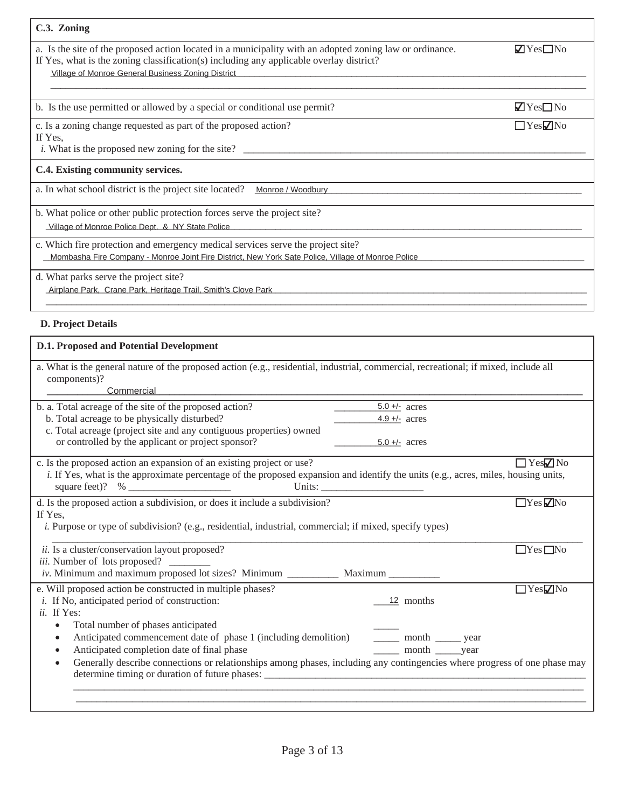| C.3. Zoning                                                                                                                                                                                         |                                      |
|-----------------------------------------------------------------------------------------------------------------------------------------------------------------------------------------------------|--------------------------------------|
| a. Is the site of the proposed action located in a municipality with an adopted zoning law or ordinance.<br>If Yes, what is the zoning classification(s) including any applicable overlay district? | $\nabla Y$ es $\nabla$ No            |
| Village of Monroe General Business Zoning District                                                                                                                                                  |                                      |
| b. Is the use permitted or allowed by a special or conditional use permit?                                                                                                                          | $\blacksquare$ Yes $\blacksquare$ No |
| c. Is a zoning change requested as part of the proposed action?<br>If Yes,                                                                                                                          | $\Box$ Yes $\nabla$ No               |
| <i>i</i> . What is the proposed new zoning for the site?                                                                                                                                            |                                      |
| C.4. Existing community services.                                                                                                                                                                   |                                      |
| a. In what school district is the project site located?<br>Monroe / Woodbury                                                                                                                        |                                      |
| b. What police or other public protection forces serve the project site?<br>Village of Monroe Police Dept. & NY State Police                                                                        |                                      |
|                                                                                                                                                                                                     |                                      |
| c. Which fire protection and emergency medical services serve the project site?<br>Mombasha Fire Company - Monroe Joint Fire District, New York Sate Police, Village of Monroe Police               |                                      |
| d. What parks serve the project site?<br>Airplane Park, Crane Park, Heritage Trail, Smith's Clove Park                                                                                              |                                      |
|                                                                                                                                                                                                     |                                      |

# **D. Project Details**

| <b>D.1. Proposed and Potential Development</b>                                                                                                                                                                                 |                            |  |
|--------------------------------------------------------------------------------------------------------------------------------------------------------------------------------------------------------------------------------|----------------------------|--|
| a. What is the general nature of the proposed action (e.g., residential, industrial, commercial, recreational; if mixed, include all<br>components)?                                                                           |                            |  |
| Commercial                                                                                                                                                                                                                     |                            |  |
| b. a. Total acreage of the site of the proposed action?                                                                                                                                                                        | $5.0 +/-$ acres            |  |
| b. Total acreage to be physically disturbed?                                                                                                                                                                                   | $4.9 +/-$ acres            |  |
| c. Total acreage (project site and any contiguous properties) owned                                                                                                                                                            |                            |  |
| or controlled by the applicant or project sponsor?                                                                                                                                                                             | $5.0 +/-$ acres            |  |
| c. Is the proposed action an expansion of an existing project or use?<br>i. If Yes, what is the approximate percentage of the proposed expansion and identify the units (e.g., acres, miles, housing units,<br>square feet)? % | $\Box$ Yes $\nabla$ No     |  |
| d. Is the proposed action a subdivision, or does it include a subdivision?                                                                                                                                                     | $\Box$ Yes $\nabla$ No     |  |
| If Yes,                                                                                                                                                                                                                        |                            |  |
| <i>i.</i> Purpose or type of subdivision? (e.g., residential, industrial, commercial; if mixed, specify types)                                                                                                                 |                            |  |
| ii. Is a cluster/conservation layout proposed?                                                                                                                                                                                 | $\Box$ Yes $\Box$ No       |  |
| iii. Number of lots proposed?                                                                                                                                                                                                  |                            |  |
|                                                                                                                                                                                                                                |                            |  |
| e. Will proposed action be constructed in multiple phases?                                                                                                                                                                     | $\Box$ Yes $\nabla$ No     |  |
| <i>i</i> . If No, anticipated period of construction:                                                                                                                                                                          | 12 months                  |  |
| ii. If Yes:                                                                                                                                                                                                                    |                            |  |
| Total number of phases anticipated<br>$\bullet$                                                                                                                                                                                |                            |  |
| Anticipated commencement date of phase 1 (including demolition)<br>$\bullet$                                                                                                                                                   | _______ month _______ year |  |
| Anticipated completion date of final phase<br>$\bullet$                                                                                                                                                                        | ______ month ______year    |  |
| Generally describe connections or relationships among phases, including any contingencies where progress of one phase may<br>$\bullet$                                                                                         |                            |  |
|                                                                                                                                                                                                                                |                            |  |
|                                                                                                                                                                                                                                |                            |  |
|                                                                                                                                                                                                                                |                            |  |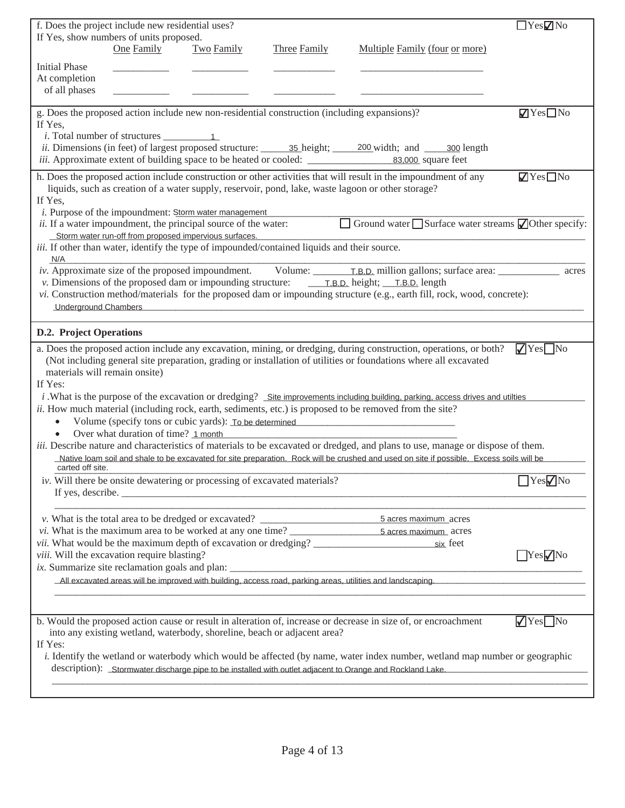| f. Does the project include new residential uses?                                                                                                                                                                                                    | $\Box$ Yes $\nabla$ No               |
|------------------------------------------------------------------------------------------------------------------------------------------------------------------------------------------------------------------------------------------------------|--------------------------------------|
| If Yes, show numbers of units proposed.                                                                                                                                                                                                              |                                      |
| One Family<br>Two Family<br>Multiple Family (four or more)<br><b>Three Family</b>                                                                                                                                                                    |                                      |
| <b>Initial Phase</b>                                                                                                                                                                                                                                 |                                      |
| At completion                                                                                                                                                                                                                                        |                                      |
| of all phases                                                                                                                                                                                                                                        |                                      |
| g. Does the proposed action include new non-residential construction (including expansions)?                                                                                                                                                         | $\blacksquare$ Yes $\blacksquare$ No |
| If Yes,                                                                                                                                                                                                                                              |                                      |
| <i>ii.</i> Dimensions (in feet) of largest proposed structure: 35 height; 200 width; and 300 length                                                                                                                                                  |                                      |
| <i>iii.</i> Approximate extent of building space to be heated or cooled: 83,000 square feet                                                                                                                                                          |                                      |
| h. Does the proposed action include construction or other activities that will result in the impoundment of any                                                                                                                                      | $\blacksquare$ Yes $\blacksquare$ No |
| liquids, such as creation of a water supply, reservoir, pond, lake, waste lagoon or other storage?                                                                                                                                                   |                                      |
| If Yes,                                                                                                                                                                                                                                              |                                      |
| <i>i</i> . Purpose of the impoundment: Storm water management                                                                                                                                                                                        |                                      |
| П<br>Ground water $\Box$ Surface water streams $\Box$ Other specify:<br>ii. If a water impoundment, the principal source of the water:<br>Storm water run-off from proposed impervious surfaces.                                                     |                                      |
| iii. If other than water, identify the type of impounded/contained liquids and their source.                                                                                                                                                         |                                      |
| N/A                                                                                                                                                                                                                                                  |                                      |
| iv. Approximate size of the proposed impoundment. Volume: T.B.D. million gallons; surface area:                                                                                                                                                      | acres                                |
|                                                                                                                                                                                                                                                      |                                      |
| vi. Construction method/materials for the proposed dam or impounding structure (e.g., earth fill, rock, wood, concrete):                                                                                                                             |                                      |
| <b>Underground Chambers</b>                                                                                                                                                                                                                          |                                      |
| <b>D.2. Project Operations</b>                                                                                                                                                                                                                       |                                      |
| a. Does the proposed action include any excavation, mining, or dredging, during construction, operations, or both?                                                                                                                                   | $\sqrt{\text{Yes}}$ No               |
| (Not including general site preparation, grading or installation of utilities or foundations where all excavated                                                                                                                                     |                                      |
| materials will remain onsite)                                                                                                                                                                                                                        |                                      |
| If Yes:                                                                                                                                                                                                                                              |                                      |
| $i$ . What is the purpose of the excavation or dredging? Site improvements including building, parking, access drives and utilties<br><i>ii.</i> How much material (including rock, earth, sediments, etc.) is proposed to be removed from the site? |                                      |
| Volume (specify tons or cubic yards): To be determined<br>$\bullet$                                                                                                                                                                                  |                                      |
| Over what duration of time? 1 month<br>$\bullet$                                                                                                                                                                                                     |                                      |
| <i>iii.</i> Describe nature and characteristics of materials to be excavated or dredged, and plans to use, manage or dispose of them.                                                                                                                |                                      |
| Native loam soil and shale to be excavated for site preparation. Rock will be crushed and used on site if possible. Excess soils will be                                                                                                             |                                      |
| carted off site.                                                                                                                                                                                                                                     | $\Box$ Yes $\neg$ No                 |
| iv. Will there be onsite dewatering or processing of excavated materials?                                                                                                                                                                            |                                      |
|                                                                                                                                                                                                                                                      |                                      |
| v. What is the total area to be dredged or excavated? ___________________________<br>5 acres maximum acres                                                                                                                                           |                                      |
|                                                                                                                                                                                                                                                      |                                      |
| <i>vii.</i> What would be the maximum depth of excavation or dredging?<br>six feet                                                                                                                                                                   |                                      |
| viii. Will the excavation require blasting?                                                                                                                                                                                                          | $Yes$ No                             |
| ix. Summarize site reclamation goals and plan: __________________________________<br>All excavated areas will be improved with building, access road, parking areas, utilities and landscaping.                                                      |                                      |
|                                                                                                                                                                                                                                                      |                                      |
|                                                                                                                                                                                                                                                      |                                      |
| b. Would the proposed action cause or result in alteration of, increase or decrease in size of, or encroachment                                                                                                                                      | $\sqrt{\text{Yes}}$ No               |
| into any existing wetland, waterbody, shoreline, beach or adjacent area?                                                                                                                                                                             |                                      |
| If Yes:                                                                                                                                                                                                                                              |                                      |
| i. Identify the wetland or waterbody which would be affected (by name, water index number, wetland map number or geographic<br>description): Stormwater discharge pipe to be installed with outlet adjacent to Orange and Rockland Lake.             |                                      |
|                                                                                                                                                                                                                                                      |                                      |
|                                                                                                                                                                                                                                                      |                                      |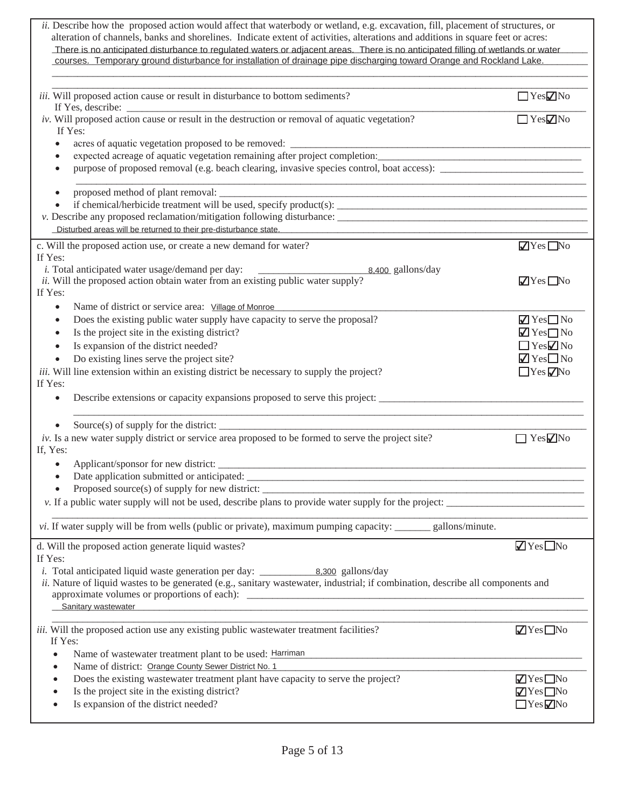| ii. Describe how the proposed action would affect that waterbody or wetland, e.g. excavation, fill, placement of structures, or<br>alteration of channels, banks and shorelines. Indicate extent of activities, alterations and additions in square feet or acres:<br>There is no anticipated disturbance to regulated waters or adjacent areas. There is no anticipated filling of wetlands or water<br>courses. Temporary ground disturbance for installation of drainage pipe discharging toward Orange and Rockland Lake. |                                      |
|-------------------------------------------------------------------------------------------------------------------------------------------------------------------------------------------------------------------------------------------------------------------------------------------------------------------------------------------------------------------------------------------------------------------------------------------------------------------------------------------------------------------------------|--------------------------------------|
| iii. Will proposed action cause or result in disturbance to bottom sediments?                                                                                                                                                                                                                                                                                                                                                                                                                                                 | $\Box$ Yes $\nabla$ No               |
| iv. Will proposed action cause or result in the destruction or removal of aquatic vegetation?<br>If Yes:                                                                                                                                                                                                                                                                                                                                                                                                                      | YesZNo                               |
| acres of aquatic vegetation proposed to be removed:                                                                                                                                                                                                                                                                                                                                                                                                                                                                           |                                      |
|                                                                                                                                                                                                                                                                                                                                                                                                                                                                                                                               |                                      |
| $\bullet$                                                                                                                                                                                                                                                                                                                                                                                                                                                                                                                     |                                      |
| $\bullet$                                                                                                                                                                                                                                                                                                                                                                                                                                                                                                                     |                                      |
|                                                                                                                                                                                                                                                                                                                                                                                                                                                                                                                               |                                      |
| Disturbed areas will be returned to their pre-disturbance state.                                                                                                                                                                                                                                                                                                                                                                                                                                                              |                                      |
|                                                                                                                                                                                                                                                                                                                                                                                                                                                                                                                               |                                      |
| c. Will the proposed action use, or create a new demand for water?<br>If Yes:                                                                                                                                                                                                                                                                                                                                                                                                                                                 | $\sqrt{Y}$ es $\Box$ No              |
| <i>i</i> . Total anticipated water usage/demand per day:<br>$\frac{1}{8,400}$ gallons/day                                                                                                                                                                                                                                                                                                                                                                                                                                     |                                      |
| ii. Will the proposed action obtain water from an existing public water supply?                                                                                                                                                                                                                                                                                                                                                                                                                                               | $\sqrt{ }$ Yes $\Box$ No             |
| If Yes:                                                                                                                                                                                                                                                                                                                                                                                                                                                                                                                       |                                      |
| Name of district or service area: Village of Monroe<br>$\bullet$                                                                                                                                                                                                                                                                                                                                                                                                                                                              |                                      |
| Does the existing public water supply have capacity to serve the proposal?<br>٠                                                                                                                                                                                                                                                                                                                                                                                                                                               | $\sqrt{Y}$ Yes $\Box$ No             |
| Is the project site in the existing district?<br>$\bullet$                                                                                                                                                                                                                                                                                                                                                                                                                                                                    | $\sqrt{Y}$ Yes $\Box$ No             |
| Is expansion of the district needed?<br>$\bullet$                                                                                                                                                                                                                                                                                                                                                                                                                                                                             | $\Box$ Yes $\Box$ No                 |
| Do existing lines serve the project site?<br>$\bullet$                                                                                                                                                                                                                                                                                                                                                                                                                                                                        | $\blacksquare$ Yes $\square$ No      |
| <i>iii.</i> Will line extension within an existing district be necessary to supply the project?                                                                                                                                                                                                                                                                                                                                                                                                                               | $\Box$ Yes $\nabla$ No               |
| If Yes:<br>Describe extensions or capacity expansions proposed to serve this project:                                                                                                                                                                                                                                                                                                                                                                                                                                         |                                      |
| Source(s) of supply for the district:                                                                                                                                                                                                                                                                                                                                                                                                                                                                                         |                                      |
| <i>iv.</i> Is a new water supply district or service area proposed to be formed to serve the project site?<br>If, Yes:                                                                                                                                                                                                                                                                                                                                                                                                        | $\Box$ Yes $\Box$ No                 |
| Applicant/sponsor for new district:                                                                                                                                                                                                                                                                                                                                                                                                                                                                                           |                                      |
| Date application submitted or anticipated:                                                                                                                                                                                                                                                                                                                                                                                                                                                                                    |                                      |
|                                                                                                                                                                                                                                                                                                                                                                                                                                                                                                                               |                                      |
| v. If a public water supply will not be used, describe plans to provide water supply for the project:                                                                                                                                                                                                                                                                                                                                                                                                                         |                                      |
| vi. If water supply will be from wells (public or private), maximum pumping capacity: _______ gallons/minute.                                                                                                                                                                                                                                                                                                                                                                                                                 |                                      |
| d. Will the proposed action generate liquid wastes?                                                                                                                                                                                                                                                                                                                                                                                                                                                                           | $\blacksquare$ Yes $\blacksquare$ No |
| If Yes:                                                                                                                                                                                                                                                                                                                                                                                                                                                                                                                       |                                      |
| <i>i</i> . Total anticipated liquid waste generation per day: $\underline{\hspace{1cm}}$ 8,300 gallons/day<br>ii. Nature of liquid wastes to be generated (e.g., sanitary wastewater, industrial; if combination, describe all components and                                                                                                                                                                                                                                                                                 |                                      |
|                                                                                                                                                                                                                                                                                                                                                                                                                                                                                                                               |                                      |
| Sanitary wastewater and the contract of the contract of the contract of the contract of the contract of the contract of the contract of the contract of the contract of the contract of the contract of the contract of the co                                                                                                                                                                                                                                                                                                |                                      |
|                                                                                                                                                                                                                                                                                                                                                                                                                                                                                                                               |                                      |
| iii. Will the proposed action use any existing public wastewater treatment facilities?<br>If Yes:                                                                                                                                                                                                                                                                                                                                                                                                                             | $\sqrt{Y}$ es $\Box$ No              |
| Name of wastewater treatment plant to be used: Harriman                                                                                                                                                                                                                                                                                                                                                                                                                                                                       |                                      |
| Name of district: Orange County Sewer District No. 1                                                                                                                                                                                                                                                                                                                                                                                                                                                                          |                                      |
| Does the existing wastewater treatment plant have capacity to serve the project?                                                                                                                                                                                                                                                                                                                                                                                                                                              | $\blacksquare$ Yes $\blacksquare$ No |
| Is the project site in the existing district?                                                                                                                                                                                                                                                                                                                                                                                                                                                                                 | $\blacksquare$ Yes $\blacksquare$ No |
| Is expansion of the district needed?                                                                                                                                                                                                                                                                                                                                                                                                                                                                                          | $\Box$ Yes $\negthinspace ZNo$       |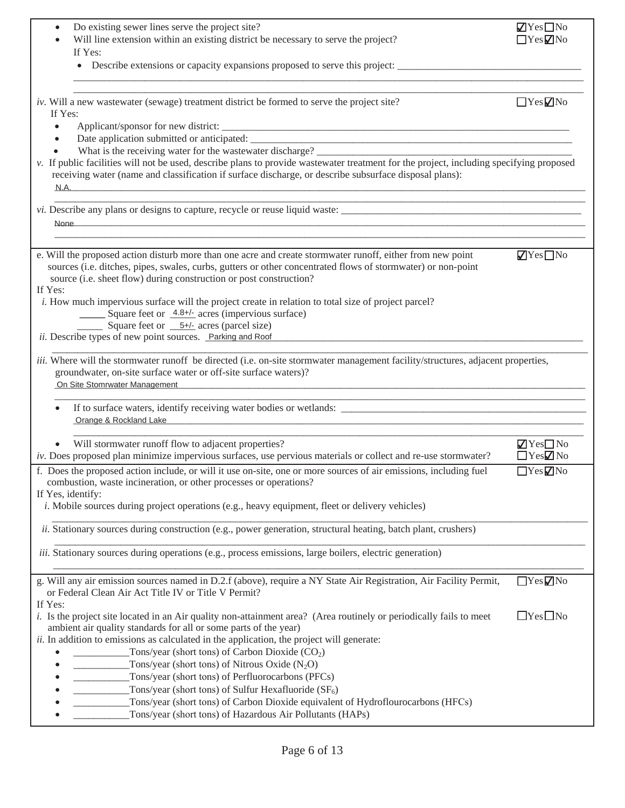| Do existing sewer lines serve the project site?<br>$\bullet$<br>Will line extension within an existing district be necessary to serve the project?<br>If Yes:                                                                                                                                                                                                                                                                                                                                                                                                                                                                                                                                                                   | $\sqrt{Y}$ es $\Box$ No<br>$\Box$ Yes $\neg$ No         |
|---------------------------------------------------------------------------------------------------------------------------------------------------------------------------------------------------------------------------------------------------------------------------------------------------------------------------------------------------------------------------------------------------------------------------------------------------------------------------------------------------------------------------------------------------------------------------------------------------------------------------------------------------------------------------------------------------------------------------------|---------------------------------------------------------|
| iv. Will a new wastewater (sewage) treatment district be formed to serve the project site?<br>If Yes:                                                                                                                                                                                                                                                                                                                                                                                                                                                                                                                                                                                                                           | $\Box$ Yes $\Box$ No                                    |
| $\bullet$<br>What is the receiving water for the wastewater discharge?<br>v. If public facilities will not be used, describe plans to provide wastewater treatment for the project, including specifying proposed<br>receiving water (name and classification if surface discharge, or describe subsurface disposal plans):<br><u>N.A. 2008 - Carl Maria San Amerikaanse kommunister († 2008)</u>                                                                                                                                                                                                                                                                                                                               |                                                         |
| <i>vi</i> . Describe any plans or designs to capture, recycle or reuse liquid waste:<br>None and the contract of the contract of the contract of the contract of the contract of the contract of the contract of the contract of the contract of the contract of the contract of the contract of the contract of the c                                                                                                                                                                                                                                                                                                                                                                                                          |                                                         |
| e. Will the proposed action disturb more than one acre and create stormwater runoff, either from new point<br>sources (i.e. ditches, pipes, swales, curbs, gutters or other concentrated flows of stormwater) or non-point<br>source (i.e. sheet flow) during construction or post construction?<br>If Yes:<br><i>i.</i> How much impervious surface will the project create in relation to total size of project parcel?<br>Square feet or 4.8+/- acres (impervious surface)<br>Square feet or $\underline{\hspace{1cm}} 5+i$ acres (parcel size)<br>ii. Describe types of new point sources. Parking and Roof                                                                                                                 | $\sqrt{Y}$ es $\Box$ No                                 |
| <i>iii.</i> Where will the stormwater runoff be directed (i.e. on-site stormwater management facility/structures, adjacent properties,<br>groundwater, on-site surface water or off-site surface waters)?<br>On Site Stomrwater Management <b>Contract Contract Contract Contract Contract Contract Contract Contract Contract Contract Contract Contract Contract Contract Contract Contract Contract Contract Contract Contract Contract Co</b>                                                                                                                                                                                                                                                                               |                                                         |
| If to surface waters, identify receiving water bodies or wetlands:<br>Orange & Rockland Lake <b>Contract Contract Contract Contract Contract Contract Contract Contract Contract Contract Contract Contract Contract Contract Contract Contract Contract Contract Contract Contract Contract Contract </b>                                                                                                                                                                                                                                                                                                                                                                                                                      |                                                         |
| Will stormwater runoff flow to adjacent properties?<br>$iv$ . Does proposed plan minimize impervious surfaces, use pervious materials or collect and re-use stormwater?                                                                                                                                                                                                                                                                                                                                                                                                                                                                                                                                                         | $\blacksquare$ Yes $\square$ No<br>$\Box$ Yes $\Box$ No |
| f. Does the proposed action include, or will it use on-site, one or more sources of air emissions, including fuel<br>combustion, waste incineration, or other processes or operations?<br>If Yes, identify:<br><i>i</i> . Mobile sources during project operations (e.g., heavy equipment, fleet or delivery vehicles)                                                                                                                                                                                                                                                                                                                                                                                                          | $Yes \nabla$ No                                         |
| <i>ii.</i> Stationary sources during construction (e.g., power generation, structural heating, batch plant, crushers)<br><i>iii.</i> Stationary sources during operations (e.g., process emissions, large boilers, electric generation)                                                                                                                                                                                                                                                                                                                                                                                                                                                                                         |                                                         |
| g. Will any air emission sources named in D.2.f (above), require a NY State Air Registration, Air Facility Permit,                                                                                                                                                                                                                                                                                                                                                                                                                                                                                                                                                                                                              | $\Box$ Yes $\nabla$ No                                  |
| or Federal Clean Air Act Title IV or Title V Permit?<br>If Yes:<br>i. Is the project site located in an Air quality non-attainment area? (Area routinely or periodically fails to meet<br>ambient air quality standards for all or some parts of the year)<br>ii. In addition to emissions as calculated in the application, the project will generate:<br>Tons/year (short tons) of Carbon Dioxide $(CO2)$<br>Tons/year (short tons) of Nitrous Oxide $(N_2O)$<br>Tons/year (short tons) of Perfluorocarbons (PFCs)<br>Tons/year (short tons) of Sulfur Hexafluoride $(SF_6)$<br>Tons/year (short tons) of Carbon Dioxide equivalent of Hydroflourocarbons (HFCs)<br>Tons/year (short tons) of Hazardous Air Pollutants (HAPs) | $\Box$ Yes $\Box$ No                                    |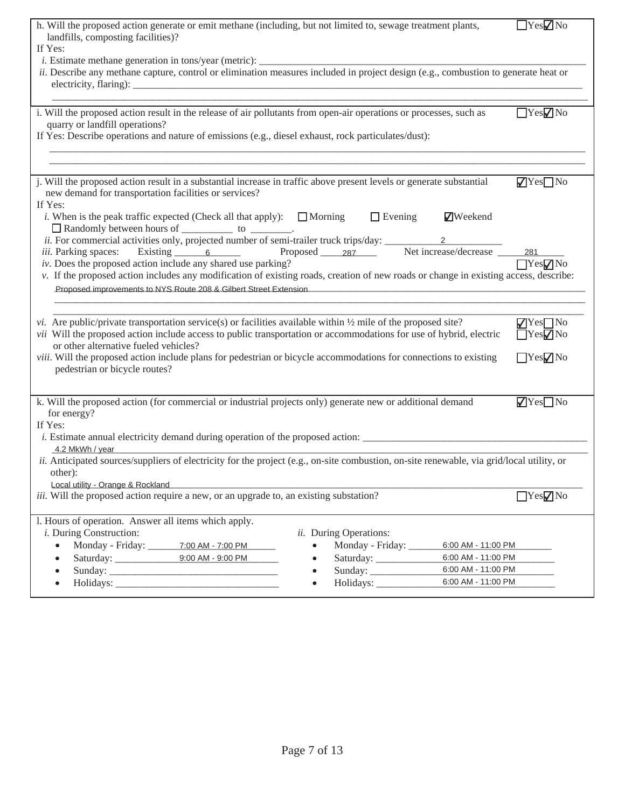| h. Will the proposed action generate or emit methane (including, but not limited to, sewage treatment plants,<br>landfills, composting facilities)?<br>If Yes:                                                                                                                                                                                                                                                                                                                                                                                                                                                                                                                                                                                                                         |                                                                                                                                               | $\Box$ Yes $\Box$ No                               |
|----------------------------------------------------------------------------------------------------------------------------------------------------------------------------------------------------------------------------------------------------------------------------------------------------------------------------------------------------------------------------------------------------------------------------------------------------------------------------------------------------------------------------------------------------------------------------------------------------------------------------------------------------------------------------------------------------------------------------------------------------------------------------------------|-----------------------------------------------------------------------------------------------------------------------------------------------|----------------------------------------------------|
| ii. Describe any methane capture, control or elimination measures included in project design (e.g., combustion to generate heat or<br>electricity, flaring):                                                                                                                                                                                                                                                                                                                                                                                                                                                                                                                                                                                                                           |                                                                                                                                               |                                                    |
| i. Will the proposed action result in the release of air pollutants from open-air operations or processes, such as<br>quarry or landfill operations?<br>If Yes: Describe operations and nature of emissions (e.g., diesel exhaust, rock particulates/dust):                                                                                                                                                                                                                                                                                                                                                                                                                                                                                                                            |                                                                                                                                               | YesVNo                                             |
| j. Will the proposed action result in a substantial increase in traffic above present levels or generate substantial<br>new demand for transportation facilities or services?<br>If Yes:<br><i>i</i> . When is the peak traffic expected (Check all that apply): $\Box$ Morning<br>Randomly between hours of ____________ to ________.<br>ii. For commercial activities only, projected number of semi-trailer truck trips/day:<br>iii. Parking spaces: Existing 6 Proposed 287 Net increase/decrease 281<br>iv. Does the proposed action include any shared use parking?<br>v. If the proposed action includes any modification of existing roads, creation of new roads or change in existing access, describe:<br>Proposed improvements to NYS Route 208 & Gilbert Street Extension | $\Box$ Evening<br><b>Z</b> Weekend<br>2                                                                                                       | $\nabla$ Yes $\nabla$ No<br>$\Box$ Yes $\nabla$ No |
| <i>vi.</i> Are public/private transportation service(s) or facilities available within $\frac{1}{2}$ mile of the proposed site?<br>vii Will the proposed action include access to public transportation or accommodations for use of hybrid, electric<br>or other alternative fueled vehicles?<br>viii. Will the proposed action include plans for pedestrian or bicycle accommodations for connections to existing<br>pedestrian or bicycle routes?                                                                                                                                                                                                                                                                                                                                   |                                                                                                                                               | $\sqrt{Y}$ es $\Box$ No<br>$Yes$ No<br>YesZNo      |
| k. Will the proposed action (for commercial or industrial projects only) generate new or additional demand<br>for energy?<br>If Yes:<br>4.2 MkWh / year<br>ii. Anticipated sources/suppliers of electricity for the project (e.g., on-site combustion, on-site renewable, via grid/local utility, or<br>other):                                                                                                                                                                                                                                                                                                                                                                                                                                                                        |                                                                                                                                               | $\sqrt{Y}$ es $\Box$ No                            |
| Local utility - Orange & Rockland<br><i>iii.</i> Will the proposed action require a new, or an upgrade to, an existing substation?                                                                                                                                                                                                                                                                                                                                                                                                                                                                                                                                                                                                                                                     |                                                                                                                                               | $\Box$ Yes $\neg$ No                               |
| l. Hours of operation. Answer all items which apply.<br><i>i</i> . During Construction:<br>Monday - Friday: 7:00 AM - 7:00 PM<br>Saturday: 0.00 AM - 9.00 PM<br>$\bullet$<br>$\bullet$                                                                                                                                                                                                                                                                                                                                                                                                                                                                                                                                                                                                 | ii. During Operations:<br>Monday - Friday:<br>6:00 AM - 11:00 PM<br>6:00 AM - 11:00 PM<br>6:00 AM - 11:00 PM<br>Sunday:<br>6:00 AM - 11:00 PM |                                                    |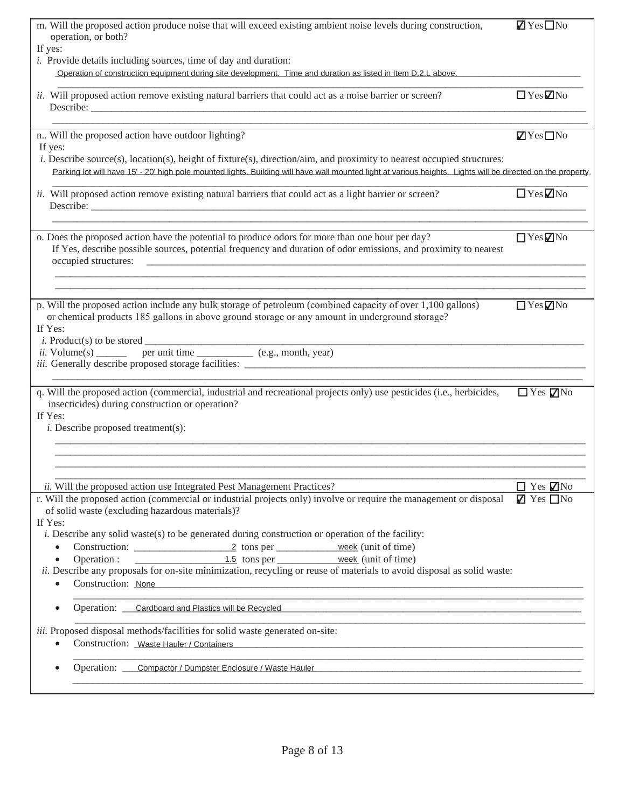| m. Will the proposed action produce noise that will exceed existing ambient noise levels during construction,<br>operation, or both?<br>If yes:                                                                                                                                                                                                                                                                                                                                                                                                                                                         | $\blacksquare$ Yes $\Box$ No                         |
|---------------------------------------------------------------------------------------------------------------------------------------------------------------------------------------------------------------------------------------------------------------------------------------------------------------------------------------------------------------------------------------------------------------------------------------------------------------------------------------------------------------------------------------------------------------------------------------------------------|------------------------------------------------------|
| <i>i</i> . Provide details including sources, time of day and duration:<br>Operation of construction equipment during site development. Time and duration as listed in Item D.2.L above.                                                                                                                                                                                                                                                                                                                                                                                                                |                                                      |
| ii. Will proposed action remove existing natural barriers that could act as a noise barrier or screen?                                                                                                                                                                                                                                                                                                                                                                                                                                                                                                  | $\Box$ Yes $\Box$ No                                 |
| n Will the proposed action have outdoor lighting?<br>If yes:<br><i>i.</i> Describe source(s), location(s), height of fixture(s), direction/aim, and proximity to nearest occupied structures:                                                                                                                                                                                                                                                                                                                                                                                                           | $\blacksquare$ Yes $\blacksquare$ No                 |
| Parking lot will have 15' - 20' high pole mounted lights. Building will have wall mounted light at various heights. Lights will be directed on the property                                                                                                                                                                                                                                                                                                                                                                                                                                             |                                                      |
| ii. Will proposed action remove existing natural barriers that could act as a light barrier or screen?                                                                                                                                                                                                                                                                                                                                                                                                                                                                                                  | $\Box$ Yes $\Box$ No                                 |
| o. Does the proposed action have the potential to produce odors for more than one hour per day?<br>If Yes, describe possible sources, potential frequency and duration of odor emissions, and proximity to nearest<br>occupied structures:                                                                                                                                                                                                                                                                                                                                                              | $\Box$ Yes $\nabla$ No                               |
| p. Will the proposed action include any bulk storage of petroleum (combined capacity of over 1,100 gallons)<br>or chemical products 185 gallons in above ground storage or any amount in underground storage?<br>If Yes:<br><i>i</i> . Product(s) to be stored $\overline{\phantom{a}}$                                                                                                                                                                                                                                                                                                                 | $\Box$ Yes $\nabla$ No                               |
| <i>i</i> . Product(s) to be stored $\frac{1}{i}$ per unit time $\frac{1}{i}$ (e.g., month, year)<br><i>iii.</i> Generally describe proposed storage facilities:                                                                                                                                                                                                                                                                                                                                                                                                                                         |                                                      |
| q. Will the proposed action (commercial, industrial and recreational projects only) use pesticides (i.e., herbicides,<br>insecticides) during construction or operation?<br>If Yes:<br><i>i</i> . Describe proposed treatment(s):                                                                                                                                                                                                                                                                                                                                                                       | $\Box$ Yes $\nabla$ No                               |
|                                                                                                                                                                                                                                                                                                                                                                                                                                                                                                                                                                                                         |                                                      |
| ii. Will the proposed action use Integrated Pest Management Practices?                                                                                                                                                                                                                                                                                                                                                                                                                                                                                                                                  | $\Box$ Yes $\Box$ No<br>$\blacksquare$ Yes $\Box$ No |
| r. Will the proposed action (commercial or industrial projects only) involve or require the management or disposal<br>of solid waste (excluding hazardous materials)?<br>If Yes:<br>i. Describe any solid waste(s) to be generated during construction or operation of the facility:<br>$\bullet$<br>1.5 tons per <u>week</u> (unit of time)<br>Operation :<br>$\bullet$<br><i>ii.</i> Describe any proposals for on-site minimization, recycling or reuse of materials to avoid disposal as solid waste:<br>Construction: None<br>$\bullet$<br><u> 1980 - Johann Stein, fransk politiker (d. 1980)</u> |                                                      |
| Operation: Cardboard and Plastics will be Recycled<br>$\bullet$                                                                                                                                                                                                                                                                                                                                                                                                                                                                                                                                         |                                                      |
| iii. Proposed disposal methods/facilities for solid waste generated on-site:<br>Construction: Waste Hauler / Containers<br>$\bullet$                                                                                                                                                                                                                                                                                                                                                                                                                                                                    |                                                      |
| Operation: Compactor / Dumpster Enclosure / Waste Hauler                                                                                                                                                                                                                                                                                                                                                                                                                                                                                                                                                |                                                      |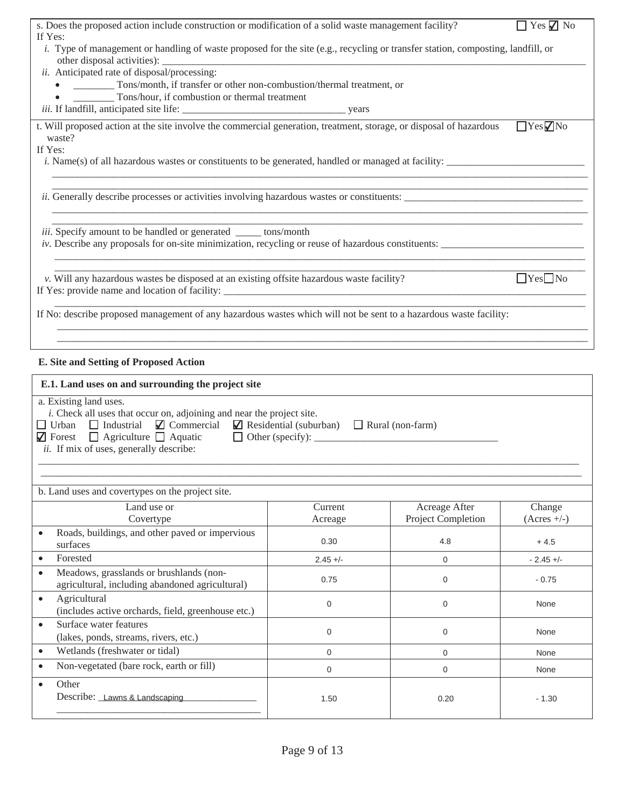| s. Does the proposed action include construction or modification of a solid waste management facility?                                                                                                                                                                                                                 |                    |                                     | $\Box$ Yes $\Box$ No    |
|------------------------------------------------------------------------------------------------------------------------------------------------------------------------------------------------------------------------------------------------------------------------------------------------------------------------|--------------------|-------------------------------------|-------------------------|
| If Yes:<br>i. Type of management or handling of waste proposed for the site (e.g., recycling or transfer station, composting, landfill, or                                                                                                                                                                             |                    |                                     |                         |
| other disposal activities): _                                                                                                                                                                                                                                                                                          |                    |                                     |                         |
| ii. Anticipated rate of disposal/processing:<br>Tons/month, if transfer or other non-combustion/thermal treatment, or                                                                                                                                                                                                  |                    |                                     |                         |
| Tons/hour, if combustion or thermal treatment                                                                                                                                                                                                                                                                          |                    |                                     |                         |
|                                                                                                                                                                                                                                                                                                                        |                    |                                     |                         |
| t. Will proposed action at the site involve the commercial generation, treatment, storage, or disposal of hazardous                                                                                                                                                                                                    |                    |                                     | $Yes$ No                |
| waste?<br>If Yes:                                                                                                                                                                                                                                                                                                      |                    |                                     |                         |
| <i>i.</i> Name(s) of all hazardous wastes or constituents to be generated, handled or managed at facility:                                                                                                                                                                                                             |                    |                                     |                         |
|                                                                                                                                                                                                                                                                                                                        |                    |                                     |                         |
| iii. Specify amount to be handled or generated _____ tons/month                                                                                                                                                                                                                                                        |                    |                                     |                         |
| v. Will any hazardous wastes be disposed at an existing offsite hazardous waste facility?                                                                                                                                                                                                                              |                    |                                     | $\boxed{\text{Yes}}$ No |
|                                                                                                                                                                                                                                                                                                                        |                    |                                     |                         |
| If No: describe proposed management of any hazardous wastes which will not be sent to a hazardous waste facility:                                                                                                                                                                                                      |                    |                                     |                         |
|                                                                                                                                                                                                                                                                                                                        |                    |                                     |                         |
| E. Site and Setting of Proposed Action                                                                                                                                                                                                                                                                                 |                    |                                     |                         |
| E.1. Land uses on and surrounding the project site                                                                                                                                                                                                                                                                     |                    |                                     |                         |
| a. Existing land uses.<br><i>i</i> . Check all uses that occur on, adjoining and near the project site.<br>$\Box$ Urban $\Box$ Industrial $\Box$ Commercial $\Box$ Residential (suburban) $\Box$ Rural (non-farm)<br>$\Box$ Forest $\Box$ Agriculture $\Box$ Aquatic<br><i>ii.</i> If mix of uses, generally describe: |                    |                                     |                         |
|                                                                                                                                                                                                                                                                                                                        |                    |                                     |                         |
| b. Land uses and covertypes on the project site.                                                                                                                                                                                                                                                                       |                    |                                     |                         |
| Land use or<br>Covertype                                                                                                                                                                                                                                                                                               | Current<br>Acreage | Acreage After<br>Project Completion | Change<br>$(Acres +/-)$ |
| Roads, buildings, and other paved or impervious<br>$\bullet$<br>surfaces                                                                                                                                                                                                                                               | 0.30               | 4.8                                 | $+4.5$                  |
| Forested<br>$\bullet$                                                                                                                                                                                                                                                                                                  | $2.45 +/-$         | 0                                   | $-2.45 +/-$             |
| Meadows, grasslands or brushlands (non-<br>$\bullet$                                                                                                                                                                                                                                                                   | 0.75               | $\mathbf 0$                         | $-0.75$                 |
| agricultural, including abandoned agricultural)                                                                                                                                                                                                                                                                        |                    |                                     |                         |
| Agricultural<br>$\bullet$<br>(includes active orchards, field, greenhouse etc.)                                                                                                                                                                                                                                        | $\mathbf 0$        | $\mathbf 0$                         | None                    |
| Surface water features<br>$\bullet$<br>(lakes, ponds, streams, rivers, etc.)                                                                                                                                                                                                                                           | $\mathbf 0$        | 0                                   | None                    |
| Wetlands (freshwater or tidal)<br>$\bullet$                                                                                                                                                                                                                                                                            | $\mathbf 0$        | $\mathbf{0}$                        | None                    |
| Non-vegetated (bare rock, earth or fill)<br>$\bullet$                                                                                                                                                                                                                                                                  | $\mathbf 0$        | $\mathbf 0$                         | None                    |
| Other<br>$\bullet$                                                                                                                                                                                                                                                                                                     |                    |                                     |                         |
| Describe: Lawns & Landscaping                                                                                                                                                                                                                                                                                          | 1.50               | 0.20                                | $-1.30$                 |

\_\_\_\_\_\_\_\_\_\_\_\_\_\_\_\_\_\_\_\_\_\_\_\_\_\_\_\_\_\_\_\_\_\_\_\_\_\_\_\_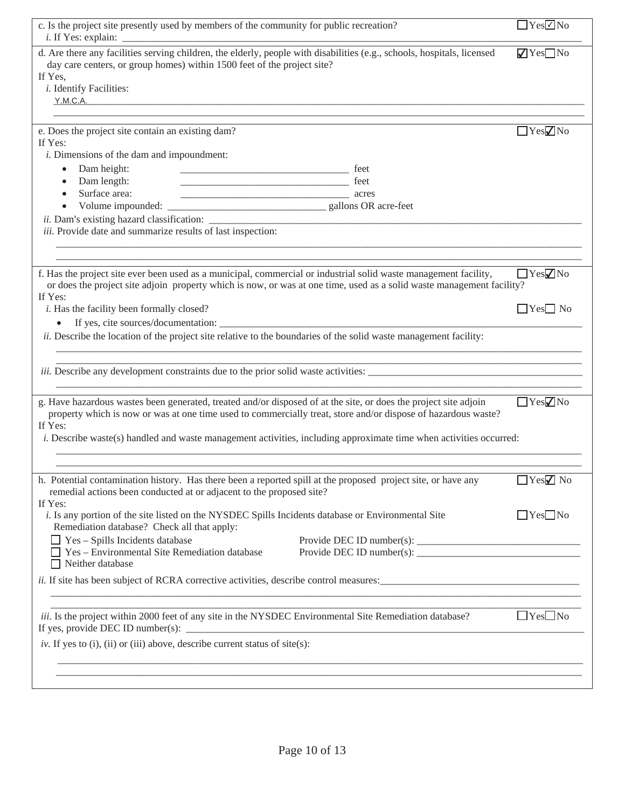| c. Is the project site presently used by members of the community for public recreation?                                                                                                                                                                                                                                                                                  | $\Box$ Yes $\Box$ No    |
|---------------------------------------------------------------------------------------------------------------------------------------------------------------------------------------------------------------------------------------------------------------------------------------------------------------------------------------------------------------------------|-------------------------|
| d. Are there any facilities serving children, the elderly, people with disabilities (e.g., schools, hospitals, licensed<br>day care centers, or group homes) within 1500 feet of the project site?<br>If Yes,<br><i>i</i> . Identify Facilities:                                                                                                                          | $\sqrt{Y}$ es $\Box$ No |
|                                                                                                                                                                                                                                                                                                                                                                           | $\Box$ Yes $\nabla$ No  |
| e. Does the project site contain an existing dam?<br>If Yes:                                                                                                                                                                                                                                                                                                              |                         |
| <i>i</i> . Dimensions of the dam and impoundment:                                                                                                                                                                                                                                                                                                                         |                         |
| Dam height:<br>$\bullet$                                                                                                                                                                                                                                                                                                                                                  |                         |
| Dam length:<br>$\bullet$                                                                                                                                                                                                                                                                                                                                                  |                         |
| Surface area:<br>$\overline{\phantom{a}}$ acres                                                                                                                                                                                                                                                                                                                           |                         |
|                                                                                                                                                                                                                                                                                                                                                                           |                         |
| iii. Provide date and summarize results of last inspection:                                                                                                                                                                                                                                                                                                               |                         |
|                                                                                                                                                                                                                                                                                                                                                                           |                         |
|                                                                                                                                                                                                                                                                                                                                                                           |                         |
| f. Has the project site ever been used as a municipal, commercial or industrial solid waste management facility,<br>or does the project site adjoin property which is now, or was at one time, used as a solid waste management facility?                                                                                                                                 | $\Box$ Yes $\nabla$ No  |
| If Yes:<br><i>i</i> . Has the facility been formally closed?                                                                                                                                                                                                                                                                                                              | $\Box$ Yes $\Box$ No    |
|                                                                                                                                                                                                                                                                                                                                                                           |                         |
| ii. Describe the location of the project site relative to the boundaries of the solid waste management facility:                                                                                                                                                                                                                                                          |                         |
|                                                                                                                                                                                                                                                                                                                                                                           |                         |
| <i>iii.</i> Describe any development constraints due to the prior solid waste activities:                                                                                                                                                                                                                                                                                 |                         |
| g. Have hazardous wastes been generated, treated and/or disposed of at the site, or does the project site adjoin<br>property which is now or was at one time used to commercially treat, store and/or dispose of hazardous waste?<br>If Yes:<br><i>i.</i> Describe waste(s) handled and waste management activities, including approximate time when activities occurred: | $\Box$ Yes $\nabla$ No  |
|                                                                                                                                                                                                                                                                                                                                                                           |                         |
| h. Potential contamination history. Has there been a reported spill at the proposed project site, or have any<br>remedial actions been conducted at or adjacent to the proposed site?<br>If Yes:                                                                                                                                                                          | $\Box$ Yes $\Box$ No    |
| i. Is any portion of the site listed on the NYSDEC Spills Incidents database or Environmental Site<br>Remediation database? Check all that apply:                                                                                                                                                                                                                         | $\Box$ Yes $\Box$ No    |
| $\Box$ Yes - Spills Incidents database                                                                                                                                                                                                                                                                                                                                    |                         |
| $\Box$ Yes – Environmental Site Remediation database                                                                                                                                                                                                                                                                                                                      |                         |
| $\Box$ Neither database                                                                                                                                                                                                                                                                                                                                                   |                         |
| <i>ii.</i> If site has been subject of RCRA corrective activities, describe control measures:                                                                                                                                                                                                                                                                             |                         |
|                                                                                                                                                                                                                                                                                                                                                                           |                         |
| iii. Is the project within 2000 feet of any site in the NYSDEC Environmental Site Remediation database?<br>If yes, provide DEC ID number(s):                                                                                                                                                                                                                              | $\Box$ Yes $\Box$ No    |
| iv. If yes to (i), (ii) or (iii) above, describe current status of site(s):                                                                                                                                                                                                                                                                                               |                         |
|                                                                                                                                                                                                                                                                                                                                                                           |                         |
|                                                                                                                                                                                                                                                                                                                                                                           |                         |
|                                                                                                                                                                                                                                                                                                                                                                           |                         |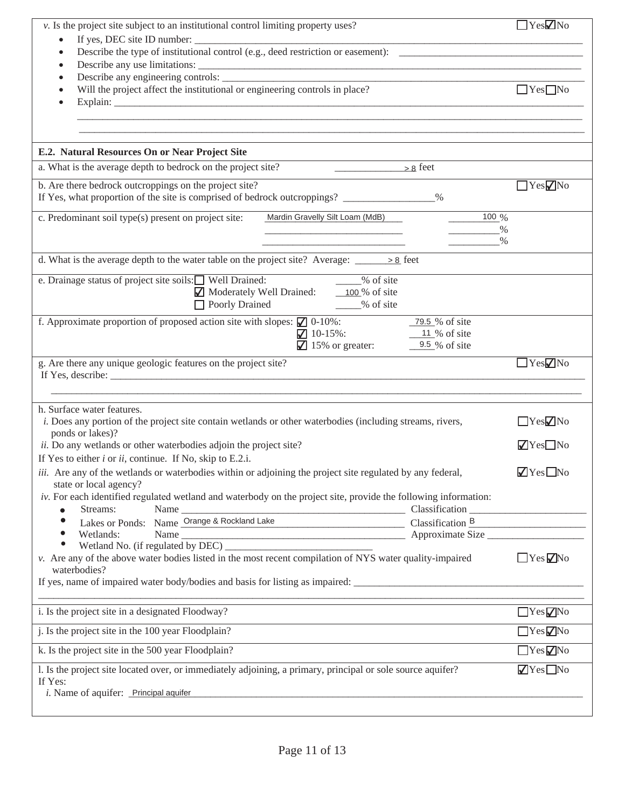| v. Is the project site subject to an institutional control limiting property uses?                                                                                                         |                          |  |  |
|--------------------------------------------------------------------------------------------------------------------------------------------------------------------------------------------|--------------------------|--|--|
| $\bullet$                                                                                                                                                                                  |                          |  |  |
| $\bullet$                                                                                                                                                                                  |                          |  |  |
| $\bullet$<br>Will the project affect the institutional or engineering controls in place?                                                                                                   | $\Box$ Yes $\Box$ No     |  |  |
|                                                                                                                                                                                            |                          |  |  |
| E.2. Natural Resources On or Near Project Site                                                                                                                                             |                          |  |  |
| a. What is the average depth to bedrock on the project site?                                                                                                                               |                          |  |  |
| b. Are there bedrock outcroppings on the project site?<br>If Yes, what proportion of the site is comprised of bedrock outcroppings? _______________%                                       | $\Box$ Yes $\nabla$ No   |  |  |
| c. Predominant soil type(s) present on project site:<br>$100\%$<br>Mardin Gravelly Silt Loam (MdB)<br>$\%$                                                                                 |                          |  |  |
| $\%$<br>d. What is the average depth to the water table on the project site? Average: $\frac{\cdot}{\cdot}$ > 8 feet                                                                       |                          |  |  |
| We of site<br>e. Drainage status of project site soils: U Well Drained:<br>Moderately Well Drained: 100 % of site                                                                          |                          |  |  |
| Poorly Drained 2008 31te                                                                                                                                                                   |                          |  |  |
| f. Approximate proportion of proposed action site with slopes: $\Box$ 0-10%:<br>_79.5 % of site<br>$10-15\%$ :<br>$\frac{11}{20}$ of site<br>$\sqrt{ }$ 15% or greater:<br>$9.5\%$ of site |                          |  |  |
|                                                                                                                                                                                            |                          |  |  |
| g. Are there any unique geologic features on the project site?                                                                                                                             | $\Box$ Yes $\nabla$ No   |  |  |
|                                                                                                                                                                                            |                          |  |  |
| h. Surface water features.<br><i>i.</i> Does any portion of the project site contain wetlands or other waterbodies (including streams, rivers,                                             | $\Box$ Yes $\nabla$ No   |  |  |
| ponds or lakes)?<br>ii. Do any wetlands or other waterbodies adjoin the project site?<br>If Yes to either $i$ or $ii$ , continue. If No, skip to E.2.i.                                    | $\sqrt{Y}$ es $\Box$ No  |  |  |
| iii. Are any of the wetlands or waterbodies within or adjoining the project site regulated by any federal,<br>state or local agency?                                                       | $\sqrt{ }$ Yes $\Box$ No |  |  |
| iv. For each identified regulated wetland and waterbody on the project site, provide the following information:<br>$\bullet$                                                               |                          |  |  |
| Streams: Name Manne Change & Rockland Lake Classification Manne Classification B Classification B Classification B<br>$\bullet$                                                            |                          |  |  |
| $\bullet$<br>$\bullet$                                                                                                                                                                     |                          |  |  |
| v. Are any of the above water bodies listed in the most recent compilation of NYS water quality-impaired<br>waterbodies?                                                                   | $\Box$ Yes $\nabla$ No   |  |  |
|                                                                                                                                                                                            |                          |  |  |
| i. Is the project site in a designated Floodway?                                                                                                                                           | $\Box$ Yes $\nabla$ No   |  |  |
| j. Is the project site in the 100 year Floodplain?                                                                                                                                         | $\Box$ Yes $\nabla$ No   |  |  |
| k. Is the project site in the 500 year Floodplain?                                                                                                                                         | $\Box$ Yes $\nabla$ No   |  |  |
| 1. Is the project site located over, or immediately adjoining, a primary, principal or sole source aquifer?<br>If Yes:                                                                     | $\sqrt{Y}$ es $\Box$ No  |  |  |
| <i>i</i> . Name of aquifer: Principal aquifer                                                                                                                                              |                          |  |  |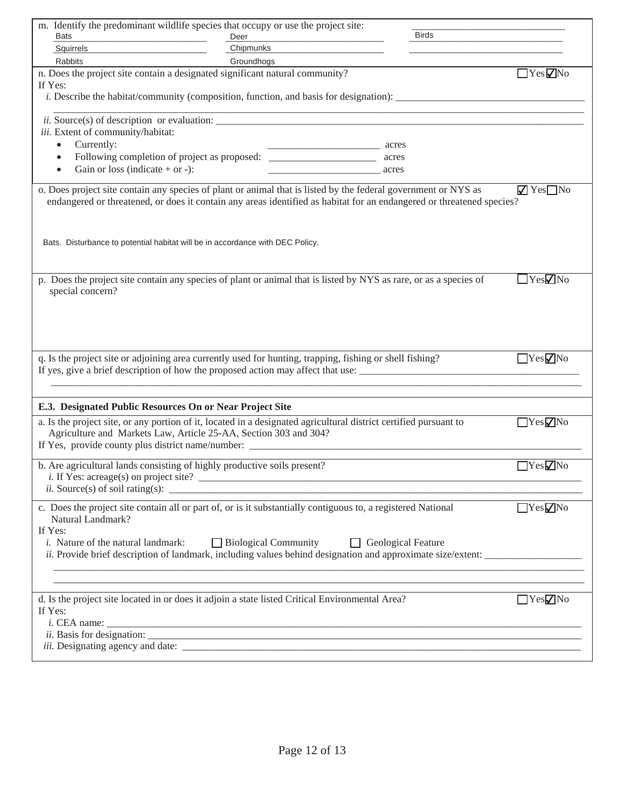| m. Identify the predominant wildlife species that occupy or use the project site:                                                                                                                                                                                                                                                                                              |                   |       | <b>Birds</b> |                        |
|--------------------------------------------------------------------------------------------------------------------------------------------------------------------------------------------------------------------------------------------------------------------------------------------------------------------------------------------------------------------------------|-------------------|-------|--------------|------------------------|
| Bats<br>Squirrels                                                                                                                                                                                                                                                                                                                                                              | Deer<br>Chipmunks |       |              |                        |
| <b>Rabbits</b>                                                                                                                                                                                                                                                                                                                                                                 | Groundhogs        |       |              |                        |
| n. Does the project site contain a designated significant natural community?                                                                                                                                                                                                                                                                                                   |                   |       |              | $\Box$ Yes $\nabla$ No |
| If Yes:<br><i>i.</i> Describe the habitat/community (composition, function, and basis for designation):                                                                                                                                                                                                                                                                        |                   |       |              |                        |
|                                                                                                                                                                                                                                                                                                                                                                                |                   |       |              |                        |
| iii. Extent of community/habitat:                                                                                                                                                                                                                                                                                                                                              |                   |       |              |                        |
| Currently:<br>$\bullet$                                                                                                                                                                                                                                                                                                                                                        |                   | acres |              |                        |
| $\bullet$                                                                                                                                                                                                                                                                                                                                                                      |                   |       |              |                        |
| Gain or loss (indicate $+$ or $-$ ):<br>$\bullet$                                                                                                                                                                                                                                                                                                                              |                   | acres |              |                        |
| o. Does project site contain any species of plant or animal that is listed by the federal government or NYS as<br>$\sqrt{Y}$ Yes $\Box$ No<br>endangered or threatened, or does it contain any areas identified as habitat for an endangered or threatened species?<br>Bats. Disturbance to potential habitat will be in accordance with DEC Policy.                           |                   |       |              |                        |
| p. Does the project site contain any species of plant or animal that is listed by NYS as rare, or as a species of<br>special concern?                                                                                                                                                                                                                                          |                   |       |              | $\Box$ Yes $\nabla$ No |
| q. Is the project site or adjoining area currently used for hunting, trapping, fishing or shell fishing?<br>If yes, give a brief description of how the proposed action may affect that use:                                                                                                                                                                                   |                   |       |              | YesVNo                 |
| E.3. Designated Public Resources On or Near Project Site                                                                                                                                                                                                                                                                                                                       |                   |       |              |                        |
| a. Is the project site, or any portion of it, located in a designated agricultural district certified pursuant to<br>Agriculture and Markets Law, Article 25-AA, Section 303 and 304?                                                                                                                                                                                          |                   |       |              | YesVNo                 |
| b. Are agricultural lands consisting of highly productive soils present?<br><i>ii.</i> Source(s) of soil rating(s): $\qquad \qquad$                                                                                                                                                                                                                                            |                   |       |              | $\Box$ Yes $\nabla$ No |
| YesVNo<br>c. Does the project site contain all or part of, or is it substantially contiguous to, a registered National<br>Natural Landmark?<br>If Yes:<br>$\Box$ Biological Community<br><i>i.</i> Nature of the natural landmark:<br>Geological Feature<br><i>ii.</i> Provide brief description of landmark, including values behind designation and approximate size/extent: |                   |       |              |                        |
| d. Is the project site located in or does it adjoin a state listed Critical Environmental Area?<br>If Yes:<br>$i.$ CEA name: $\_\_$                                                                                                                                                                                                                                            |                   |       |              | $\Box$ Yes $\nabla$ No |
|                                                                                                                                                                                                                                                                                                                                                                                |                   |       |              |                        |